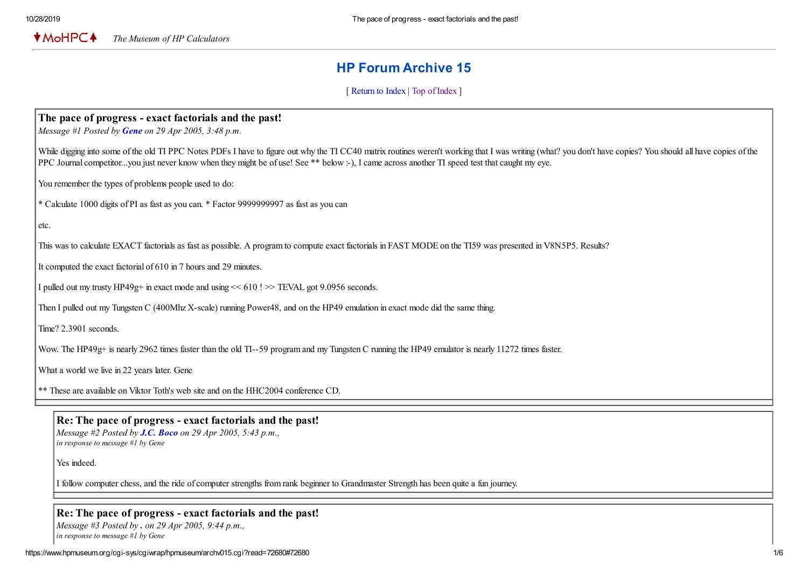$*$ MoHPC $*$ *The Museum of HP Calculators*

# HP Forum Archive 15

[ [Return to Index](https://www.hpmuseum.org/cgi-sys/cgiwrap/hpmuseum/archv015.cgi#72667) | [Top of Index](https://www.hpmuseum.org/cgi-sys/cgiwrap/hpmuseum/archv015.cgi) ]

# The pace of progress - exact factorials and the past!

*Message #1 Posted by [Gene](https://www.hpmuseum.org/cgi-sys/cgiwrap/hpmuseum/archv015.cgi?contact=72667) on 29 Apr 2005, 3:48 p.m.*

While digging into some of the old TI PPC Notes PDFs I have to figure out why the TI CC40 matrix routines weren't working that I was writing (what? you don't have copies? You should all have copies of the PPC Journal competitor...you just never know when they might be of use! See \*\* below :-), I came across another TI speed test that caught my eye.

You remember the types of problems people used to do:

\* Calculate 1000 digits of PI as fast as you can. \* Factor 9999999997 as fast as you can

etc.

This was to calculate EXACT factorials as fast as possible. A program to compute exact factorials in FAST MODE on the TI59 was presented in V8N5P5. Results?

It computed the exact factorial of 610 in 7 hours and 29 minutes.

I pulled out my trusty HP49g+ in exact mode and using << 610 ! >> TEVAL got 9.0956 seconds.

Then I pulled out my Tungsten C (400Mhz X-scale) running Power48, and on the HP49 emulation in exact mode did the same thing.

Time? 2.3901 seconds.

Wow. The HP49g+ is nearly 2962 times faster than the old TI--59 program and my Tungsten C running the HP49 emulator is nearly 11272 times faster.

What a world we live in 22 years later. Gene

\*\* These are available on Viktor Toth's web site and on the HHC2004 conference CD.

### Re: The pace of progress - exact factorials and the past!

*Message #2 Posted by [J.C. Boco](https://www.hpmuseum.org/cgi-sys/cgiwrap/hpmuseum/archv015.cgi?contact=72668) on 29 Apr 2005, 5:43 p.m., in response to message #1 by Gene*

Yes indeed.

I follow computer chess, and the ride of computer strengths from rank beginner to Grandmaster Strength has been quite a fun journey.

#### Re: The pace of progress - exact factorials and the past!

*Message #3 Posted by [.](https://www.hpmuseum.org/cgi-sys/cgiwrap/hpmuseum/archv015.cgi?contact=72671) on 29 Apr 2005, 9:44 p.m., in response to message #1 by Gene*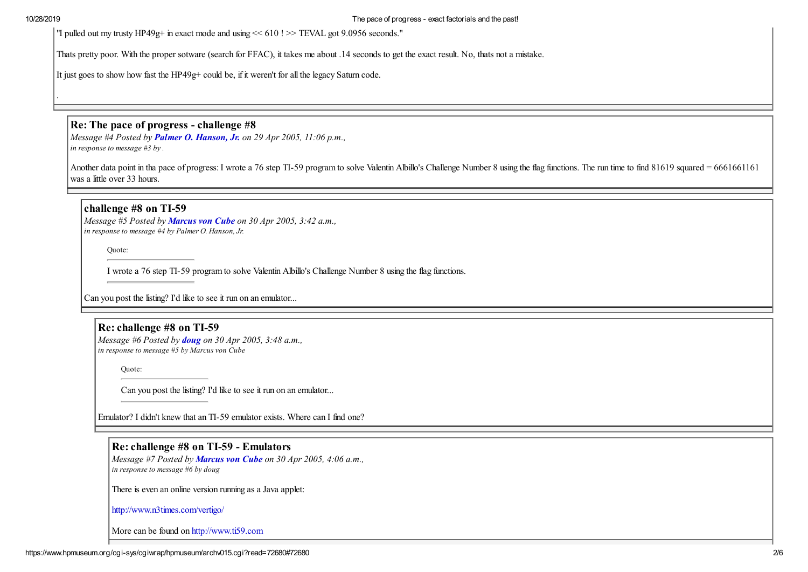.

"I pulled out my trusty HP49g+ in exact mode and using << 610 ! >> TEVAL got 9.0956 seconds."

Thats pretty poor. With the proper sotware (search for FFAC), it takes me about .14 seconds to get the exact result. No, thats not a mistake.

It just goes to show how fast the HP49g+ could be, if it weren't for all the legacy Saturn code.

# Re: The pace of progress - challenge #8

*Message #4 Posted by [Palmer O. Hanson, Jr.](https://www.hpmuseum.org/cgi-sys/cgiwrap/hpmuseum/archv015.cgi?contact=72673) on 29 Apr 2005, 11:06 p.m., in response to message #3 by .*

Another data point in tha pace of progress: I wrote a 76 step TI-59 program to solve Valentin Albillo's Challenge Number 8 using the flag functions. The run time to find 81619 squared = 6661661161 was a little over 33 hours.

## challenge #8 on TI-59

*Message #5 Posted by [Marcus von Cube](https://www.hpmuseum.org/cgi-sys/cgiwrap/hpmuseum/archv015.cgi?contact=72680) on 30 Apr 2005, 3:42 a.m., in response to message #4 by Palmer O. Hanson, Jr.*

Quote:

I wrote a 76 step TI-59 program to solve Valentin Albillo's Challenge Number 8 using the flag functions.

Can you post the listing? I'd like to see it run on an emulator...

## Re: challenge #8 on TI-59

*Message #6 Posted by [doug](https://www.hpmuseum.org/cgi-sys/cgiwrap/hpmuseum/archv015.cgi?contact=72681) on 30 Apr 2005, 3:48 a.m., in response to message #5 by Marcus von Cube*

Quote:

Can you post the listing? I'd like to see it run on an emulator...

Emulator? I didn't knew that an TI-59 emulator exists. Where can I find one?

## Re: challenge #8 on TI-59 - Emulators

*Message #7 Posted by [Marcus von Cube](https://www.hpmuseum.org/cgi-sys/cgiwrap/hpmuseum/archv015.cgi?contact=72684) on 30 Apr 2005, 4:06 a.m., in response to message #6 by doug*

There is even an online version running as a Java applet:

<http://www.n3times.com/vertigo/>

More can be found on [http://www.ti59.com](http://www.ti59.com/)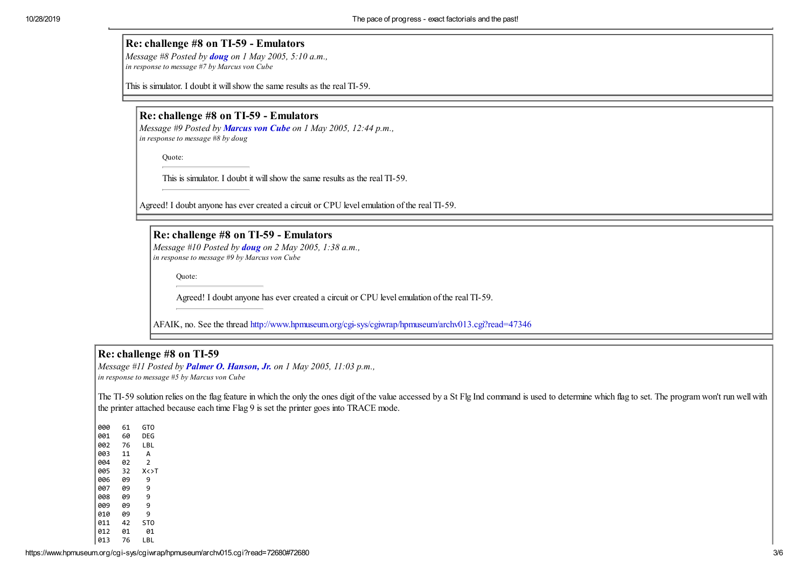## Re: challenge #8 on TI-59 - Emulators

*Message #8 Posted by [doug](https://www.hpmuseum.org/cgi-sys/cgiwrap/hpmuseum/archv015.cgi?contact=72715) on 1 May 2005, 5:10 a.m., in response to message #7 by Marcus von Cube*

This is simulator. I doubt it will show the same results as the real TI-59.

## Re: challenge #8 on TI-59 - Emulators

*Message #9 Posted by [Marcus von Cube](https://www.hpmuseum.org/cgi-sys/cgiwrap/hpmuseum/archv015.cgi?contact=72719) on 1 May 2005, 12:44 p.m., in response to message #8 by doug*

Quote:

This is simulator. I doubt it will show the same results as the real TI-59.

Agreed! I doubt anyone has ever created a circuit or CPU level emulation of the real TI-59.

Re: challenge #8 on TI-59 - Emulators *Message #10 Posted by [doug](https://www.hpmuseum.org/cgi-sys/cgiwrap/hpmuseum/archv015.cgi?contact=72740) on 2 May 2005, 1:38 a.m., in response to message #9 by Marcus von Cube*

Quote:

Agreed! I doubt anyone has ever created a circuit or CPU level emulation of the real TI-59.

AFAIK, no. See the thread<http://www.hpmuseum.org/cgi-sys/cgiwrap/hpmuseum/archv013.cgi?read=47346>

## Re: challenge #8 on TI-59

*Message #11 Posted by [Palmer O. Hanson, Jr.](https://www.hpmuseum.org/cgi-sys/cgiwrap/hpmuseum/archv015.cgi?contact=72736) on 1 May 2005, 11:03 p.m., in response to message #5 by Marcus von Cube*

The TI-59 solution relies on the flag feature in which the only the ones digit of the value accessed by a St Flg Ind command is used to determine which flag to set. The program won't run well with the printer attached because each time Flag 9 is set the printer goes into TRACE mode.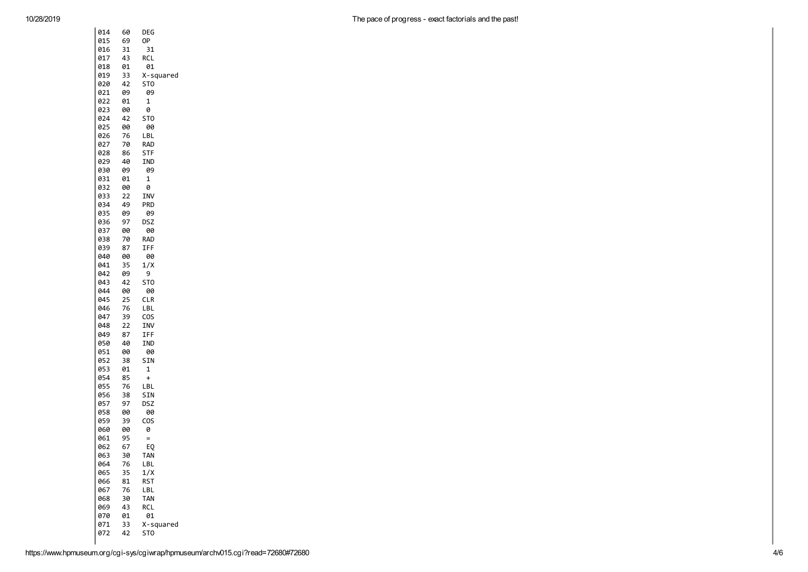| 014 | 60 | DEG             |
|-----|----|-----------------|
| 015 | 69 | 0P              |
| 016 | 31 | 31              |
| 017 | 43 | RCL             |
| 018 | 01 | 01              |
| 019 | 33 | X-squared       |
| 020 | 42 | ST0             |
| 021 | 09 | 09              |
| 022 | 01 | 1               |
| 023 | 00 | 0               |
| 024 | 42 | ST <sub>0</sub> |
| 025 | 00 | 00              |
| 026 | 76 | LBL             |
| 027 | 70 | <b>RAD</b>      |
| 028 | 86 | STF             |
| 029 | 40 | IND             |
| 030 | 09 | 09              |
| 031 | 01 | 1               |
| 032 | 00 | 0               |
| 033 | 22 | INV             |
| 034 | 49 | PRD             |
| 035 | 09 | 09              |
| 036 | 97 | DSZ             |
| 037 | 00 | 00              |
| 038 | 70 | rad             |
| 039 | 87 | IFF             |
| 040 | 00 | 00              |
| 041 | 35 | 1/X             |
| 042 | 09 | 9               |
| 043 | 42 | ST0             |
| 044 | 00 | 00              |
| 045 | 25 | <b>CLR</b>      |
| 046 | 76 | LBL             |
| 047 | 39 | cos             |
| 048 | 22 | INV             |
| 049 | 87 | IFF             |
| 050 | 40 | IND             |
| 051 | 00 | 00              |
| 052 | 38 | SIN             |
| 053 | 01 | 1               |
| 054 | 85 | $\ddot{}$       |
| 055 | 76 | LBL             |
| 056 | 38 | SIN             |
| 057 | 97 | DSZ             |
| 058 | 00 | 00              |
| 059 | 39 | COS             |
| 060 | 00 | 0               |
| 061 | 95 | $=$             |
| 062 | 67 | EQ              |
| 063 | 30 | TAN             |
| 064 | 76 | LBL             |
| 065 | 35 | 1/X             |
| 066 | 81 | RST             |
| 067 | 76 | LBL             |
| 068 | 30 | tan             |
| 069 | 43 | RCL             |
| 070 | 01 | 01              |
| 071 | 33 | X-squared       |
| 072 | 42 | ST0             |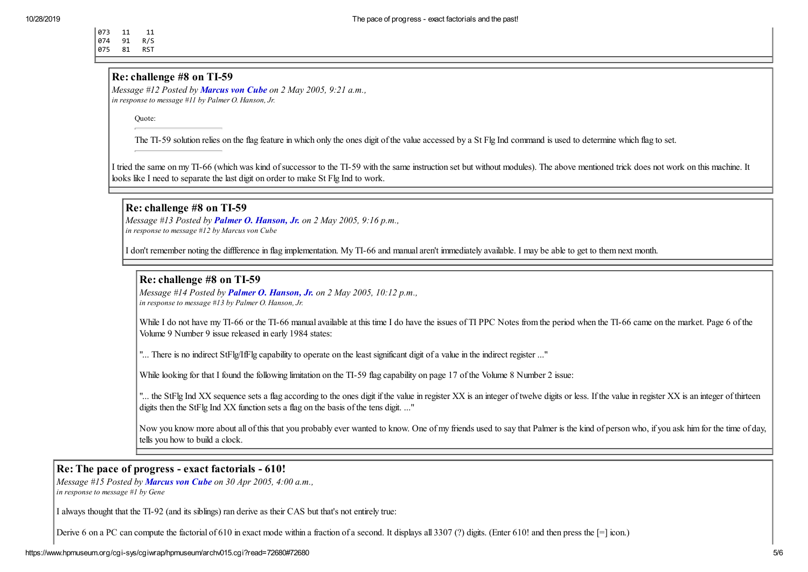073 11 11 074 91 R/S

075 81 RST

#### Re: challenge #8 on TI-59

*Message #12 Posted by [Marcus von Cube](https://www.hpmuseum.org/cgi-sys/cgiwrap/hpmuseum/archv015.cgi?contact=72765) on 2 May 2005, 9:21 a.m., in response to message #11 by Palmer O. Hanson, Jr.*

Quote:

The TI-59 solution relies on the flag feature in which only the ones digit of the value accessed by a St Flg Ind command is used to determine which flag to set.

I tried the same on my TI-66 (which was kind of successor to the TI-59 with the same instruction set but without modules). The above mentioned trick does not work on this machine. It looks like I need to separate the last digit on order to make St Flg Ind to work.

#### Re: challenge #8 on TI-59

*Message #13 Posted by [Palmer O. Hanson, Jr.](https://www.hpmuseum.org/cgi-sys/cgiwrap/hpmuseum/archv015.cgi?contact=72818) on 2 May 2005, 9:16 p.m., in response to message #12 by Marcus von Cube*

I don't remember noting the diffference in flag implementation. My TI-66 and manual aren't immediately available. I may be able to get to them next month.

### Re: challenge #8 on TI-59

*Message #14 Posted by [Palmer O. Hanson, Jr.](https://www.hpmuseum.org/cgi-sys/cgiwrap/hpmuseum/archv015.cgi?contact=72820) on 2 May 2005, 10:12 p.m., in response to message #13 by Palmer O. Hanson, Jr.*

While I do not have my TI-66 or the TI-66 manual available at this time I do have the issues of TI PPC Notes from the period when the TI-66 came on the market. Page 6 of the Volume 9 Number 9 issue released in early 1984 states:

"... There is no indirect StFlg/IfFlg capability to operate on the least significant digit of a value in the indirect register ..."

While looking for that I found the following limitation on the TI-59 flag capability on page 17 of the Volume 8 Number 2 issue:

"... the StFlg Ind XX sequence sets a flag according to the ones digit if the value in register XX is an integer of twelve digits or less. If the value in register XX is an integer of thirteen digits then the StFlg Ind XX function sets a flag on the basis of the tens digit. ..."

Now you know more about all of this that you probably ever wanted to know. One of my friends used to say that Palmer is the kind of person who, if you ask him for the time of day, tells you how to build a clock.

## Re: The pace of progress - exact factorials - 610!

*Message #15 Posted by [Marcus von Cube](https://www.hpmuseum.org/cgi-sys/cgiwrap/hpmuseum/archv015.cgi?contact=72682) on 30 Apr 2005, 4:00 a.m.,*

*in response to message #1 by Gene*

I always thought that the TI-92 (and its siblings) ran derive as their CAS but that's not entirely true:

Derive 6 on a PC can compute the factorial of 610 in exact mode within a fraction of a second. It displays all 3307 (?) digits. (Enter 610! and then press the  $[=]$  icon.)